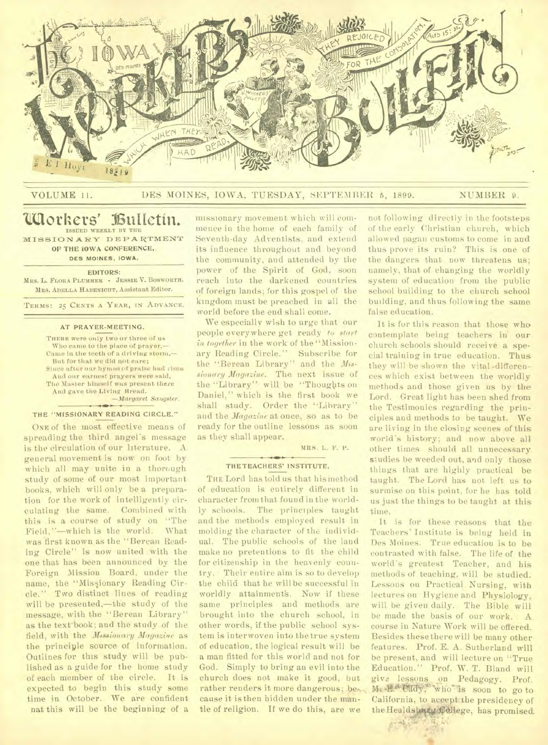

# VOLUME 11. DES MOINES, IOWA, TUESDAY, SEPTEMBER 5, 1899. NUMBER 9.

# **110others' ISultetin** • ISSUED WEEKLY BY THE

MISSION ARY DEPARTMENT **OF THE IOWA CONFERENCE, DES MOINES, IOWA.** 

**EDITORS:** 

MRS. **L.** FLORA PLUMMER - JESSIE V. BOSWORTH. MRS. ADELLA HABENICHT, Assistant Editor.

TERMS: 25 CENTS A YEAR, IN ADVANCE.

#### **AT PRAYER-MEETING.**

THERE were only two or three of us Who came to the place of prayer,— Came in the teeth of a driving storm,— But for that we did not care; Since after our hymns of praise had risen And our earnest prayers were said, The Master himself was present there And gave the Living Bread. *—Margaret Sangster.* 

## **THE "MISSIONARY READING CIRCLE."**

ONE of the most effective means of spreading the third angel's message is the circulation of our literature. A general movement is now on foot by which all may unite in a thorough study of some of our most important books, which will only be a preparation for the work of intelligently circulating the same. Combined with this is a course of study on "The Field,"—which is the world. What was first known as the "Berean Reading Circle" is now united with the one that has been announced by the Foreign Mission Board, under the name, the "Missionary Reading Circle." Two distinct lines of reading will be presented,—the study of the message, with the "Berean Library" as the text-book; and the study of the field, with the *MAssionary Magazine* as the principle source of information. Outlines for this study will be published as a guide for the home study of each member of the circle. It is expected to begin this study some time in October. We are confident nat this will be the beginning of a missionary movement which will commence in the home of each family of Seventh-day Adventists, and extend its influence throughout and beyond the community, and attended by the power of the Spirit of God, soon reach into the darkened countries of foreign lands; for this gospel of the kingdom must be preached in all the world before the end shall come.

We especially wish to urge that our people everywhere get ready *to start*  in together in the work of the "Missionary Reading Circle." Subscribe for the "Berean Library" and the *Missionary Magazine.* The next issue of the "Library" will be "Thoughts on Daniel," which is the first book we shall study. Order the "Library" and the *Magazine* at once, so as to be ready for the outline lessons as soon as they shall appear.

MRS. L. P. P.

### THETEACHERS' INSTITUTE.

THE Lord has told us that his method of education is entirely different in character from that found in the worldly schools. The principles taught and the methods employed result in molding the character of the individual. The public schools of the land make no pretentions to fit the child for citizenship in the heavenly country. Their entire aim is so to develop the child that he will be successful in worldly attainment's. Now if these same principles and methods are brought into the church school, in other words, if the public school system is interwoven into the true system of education, the logical result will be a man fitted for this world and not for God. Simply to bring an evil into the church does not make it good, but rather renders it more dangerous; because it is then hidden under the mantle of religion. If we do this, are we

not following directly in the footsteps of the early Christian church, which allowed pagan customs to come in and thus prove its ruin? This is one of the dangers that now threatens us; namely, that of changing the worldly system of education from the public school building to the church school building, and thus following the same false education.

It is for this reason that those who. contemplate being teachers in our church schools should receive a special training in true education. Thus they will be shown the vital -differences which exist between the worldly methods and those given us by the Lord. Great light has been shed from the Testimonies regarding the principles and methods to be taught. We are living in the closing scenes of this world's history; and now above all other times should all unnecessary studies be weeded out, and only those things that are highly practical be taught. The Lord has not left us to surmise on this point, for he has told us just the things to be taught at this time.

It is for these reasons that the Teachers' Institute is being held in Des Moines. True education is to be contrasted with false. The life of the world's greatest Teacher, and his methods of teaching, will be studied. Lessons on Practical Nursing, with lectures on Hygiene and Physiology, will be given daily. The Bible will be made the basis of our work. A course in Nature Work will be offered. Besides these there will be many other features. Prof. E. A. Sutherland will be present, and will lecture on "True Education." Prof. W. T. Bland will give lessons on Pedagogy. Prof.<br>M. E. Cady, who is soon to go to. California, to accept:the presidency of the Healdsburg College, has promised.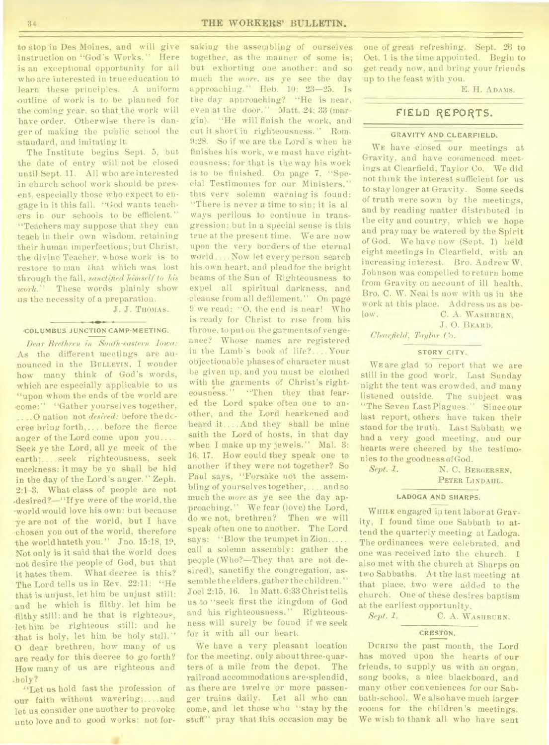to stop in Des Moines, and will give instruction on "God's Works. " Here is an exceptional opportunity for all who are interested in true education to learn these principles. A uniform outline of work is to be planned for the coming year. sothat the work will have order. Otherwise there is danger of making the public school the standard, and imitating it.

The Institute begins Sept. 5, but the date of entry will not be closed until Sept. 11. All who are interested in church school work should be present, especially those who expect to en- -gage in it this fall. "God wants teachers in our schools to be efficient." "Teachers may suppose that they can teach in their own wisdom, retaining -their human imperfections; but Christ, the divine Teacher, whose work is to restore to man that which was lost through the fall, *sanctified himself to Ms work."* These words plainly show us the necessity of a preparation.

J. J. THOMAS.

#### $\overline{\phantom{m}}$ **'COLUMBUS JUNCTION CAMP-MEETING.**

*Dear Brethren in South-eastern Iowa:*  As the different meetings are announced in the **BULLETIN,** I wonder how many think of God's words, which are especially applicable to us "upon whom the ends of the world are come:'' "Gather yourselves together, ....0 nation not *desired:* before the dceree bring forth, ... before the fierce anger of the Lord come upon you.... Seek ye the Lord, all ye meek of the earth; ... . seek righteousness, seek meekness: it may he ye shall be hid in the day of the Lord's anger." Zeph. 2:1-3. What class of people are not .desired?—"If ye were of the world, the world would love his own: but because -ye are not of the world, but I have chosen you out of the world, therefore the world hateth you." Jno. 15:18, 19. Not only is it said that the world does not desire the people of God, but that it hates them. What decree is this? The Lord tells us in Rev. 22:11: "He that is unjust, let him be unjust still: and he which is filthy, let him be filthy still: and he that is righteous, let him be righteous still: and he that is holy, let him be holy still." 0 dear brethren, how many of us are ready for this decree to go forth? How many of us are righteous and .holy?

-"Let us hold fast the profession of bur faith without wavering; .... and let us consider one another to provoke unto love and to good works: not for-

saking the assembling of ourselves together, as the manner of some is; but exhorting one another: and so much the *more,* as ye see the day approaching." Heb. 10: 23-25. Is the day approaching? "He is near, even at the door." Matt. 24: 33 (margin). "He will finish the work, and cut it short in righteousness." Rom. 9:28. So if we are the Lord's when he finishes his work, we mast have righteousness; for that is the way his work is to be finished. On page 7, "Special Testimonies for our Ministers," this very solemn warning is found: "There is never a time to sin; it is al ways perilous to continue in transgression; but in a special sense is this true at the present time. We are now upon the very borders of the eternal world .. .. Now let every person search his own heart, and plead for the bright beams of the Sun of Righteousness to expel all spiritual darkness, and cleanse from all defilement." On page 9 we read: "0, the end is near! Who is ready for Christ to rise from his throne, to put on the garments of vengeance? Whose names are registered in the Lamb's book of life?... Your objectionable phases of character must be given up, and you must be clothed with the garments of Christ's righteousness." 'Then they that feared the Lord spake often one to another, and the Lord hearkened and heard it.... And they shall be mine saith the Lord of hosts, in that day when I make up my jewels." Mal. 3: 16, 17. How could they speak one to another if they were not together? So Paul says, "Forsake not the assembling of yourselves together, ... and so much the *more* as ye see the day approaching." We fear (love) the Lord, do we not, brethren? Then we will speak often one to another. The Lord says: "Blow the trumpet in Zion..... call a solemn assembly: gather the people (Who?—They that are not desired), sanctifiy the congregation, assemble the elders, gather the children. " Joel 2:15, 16. In Matt. 6:33 Christ tells us to "seek first the kingdom of God and his righteousness.'' Righteousness will surely be found if we seek for it with all our heart.

We have a very pleasant location for the meeting, only about three-quarters of a mile from the depot. The railroad accommodations are'splendid, as there are twelve or more passenger trains daily. Let all who can come, and let those who "stay by the stuff" pray that this occasion may be one of great refreshing. Sept. 26 to Oct. 1 is the time appointed. Begin to get ready now, and bring your friends up to the feast with you.

E. H. **ADAMS.** 

# FIELD REPORTS.

## **GRAVITY AND CLEARFIELD.**

**WE** have closed our meetings at Gravity, and have commenced meetings at Clearfield, Taylor Co. We did not think the interest sufficient for us to stay longer at Gravity. Some seeds of truth were sown by the meetings, and by reading matter distributed in the city and country, which we hope and pray may be watered by the Spirit of God. We have now (Sept. 1) held eight meetings in Clearfield, with an increasing interest. Bro. Andrew W. Johnson was compelled to return home from Gravity on account of ill health. Bro. C. W. Neal is now with us in the work at this place. Address us as below. C. A. WASHBURN,

J. 0. **BEARD.** 

*Clearfield, Taylor Co.* 

## **STORY CITY.**

**WE** are glad to report that we are still in the good work. Last Sunday night the tent was crowded, and many listened outside. The subject was "The Seven Last Plagues." Since our last report, others have taken their stand for the truth. Last Sabbath we had a very good meeting, and our hearts were cheered by the testimonies to the goodness of God.

*Sept. 1.* N. C. **BERGERSEN, PETER LINDAHL.** 

#### **LADOGA AND SHARPS.**

**WHILE** engaged in tent labor at Gravity, I found time one Sabbath to attend the quarterly meeting at Ladoga. The ordinances were celebrated, and one was received into the church. I also met with the church at Sharps on two Sabbaths. At the last meeting at that place, two were added to the church. One of these desires baptism at the earliest opportunity.

*Sept. 1.* C. A. **WASHBURN.** 

# **CRESTON.**

**DURING** the past month, the Lord has moved upon the hearts of our friends, to supply us with an organ, song books, a nice blackboard, and many other conveniences for our Sabbath-school. We also have much larger rooms for the children's meetings. We wish to thank all who have sent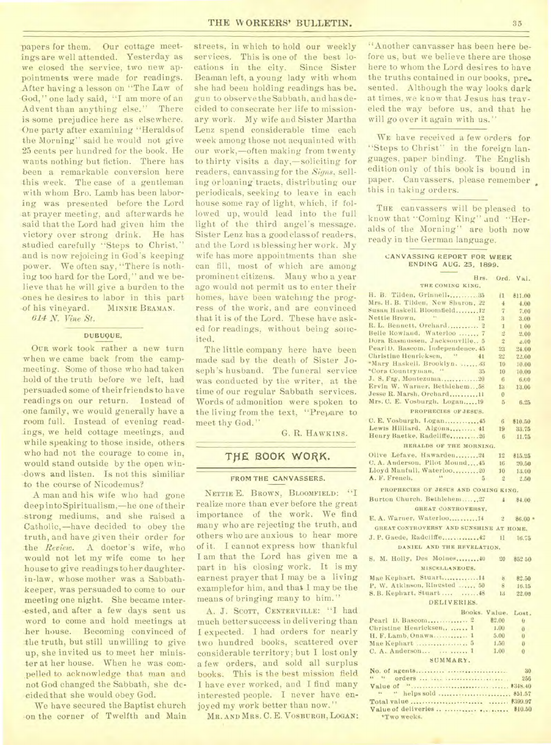papers for them. Our cottage meetings are well attended. Yesterday as we closed the service, two new appointments were made for readings. After having a lesson on "The Law of •God," one lady said, "I am more of an Advent than anything else." There is some prejudice here as elsewhere. One party after examining "Heraldsof the Morning" said he would not give 25 cents per hundred for the book. He wants nothing but fiction. There has been a remarkable conversion here this week. The case of a gentleman with whom Bro. Lamb has been laboring was presented before the Lord at prayer meeting, and afterwards he said that the Lord had given him the victory over strong drink. He has studied carefully "Steps to Christ," and is now rejoicing in God's keeping power. We often say, "There is nothing too hard for the Lord," and we believe that he will give a burden to the -ones he desires to labor in this part -of his vineyard. MINNIE BEAMAN.

*614 N. Vine St.* 

## DUBUQUE,

OUR work took rather a new turn when we came back from the campmeeting. Some of those who had taken .hold of the truth before we left, had persuaded some of their friends to have readings on our return. Instead of one family, we would generally have a room full. Instead of evening readings, we held cottage meetings, and while speaking to those inside, others who had not the courage to come in, would stand outside by the open windows and listen. Is not this similiar to the course of Nicodemus?

A man and his wife who had gone deep into Spiritualism,—he one of their .strong mediums, and she raised a Catholic,-have decided to obey the truth, and have given their order for the *Review.* A doctor's wife, who would not let my wife come to her house to give readings to her daughterin-law, whose mother was a Sabbathkeeper, was persuaded to come to our meeting one night. She became interested, and after a few days sent us word to come and hold meetings at her house. Becoming convinced of the truth, but still unwilling to give up, she invited us to meet her minister at her house. When he was compelled to acknowledge that man and not God changed the Sabbath, she decided that she would obey God.

We have secured the Baptist church •on the corner of Twelfth and Main streets, in which to hold our weekly services. This is one of the best locations in the city. Since Sister Beaman left, a young lady with whom she had been holding readings has be\_ gun to observe the Sabbath, and has decided to consecrate her life to missionary work. My wife and Sister Martha Lenz spend considerable time each week among those not acquainted with our work,-often making from twenty to thirty visits a day,—soliciting for readers, canvassing for the *Signs,* selling orloaning tracts, distributing our periodicals, seeking to leave in each house some ray of light, which, if followed up, would lead into the full light of the third angel's message. Sister Lenz has a good class of readers, and the Lord is blessing her work. My wife has more appointments than she can fill, most of which are among prominent citizens. Many who a year ago would not permit us to enter their homes, have been watching the progress of the work, and are convinced that it is of the Lord. These have asked for readings, without being solicited.

The little company here have been made sad by the death of Sister Joseph's husband. The funeral service was conducted by the writer, at the time of our regular Sabbath services. Words of admonition were spoken to the living from the text, "Prepare to meet thy God."

G. R. HAWKINS.

# **TtlE BOOK WORK.**

## FROM THE CANVASSERS.

NETTIE E. BROWN, BLOOMFIELD: "I realize more than ever before the great importance of the work. We find many who are rejecting the truth, and others who are anxious to hear more of it. I cannot express how thankful I am that the Lord has given me a part in his closing work. It is my earnest prayer that I may be a living examplefor him, and that I may be the means of bringing many to him."

A. J. SCOTT, CENTERVILLE: "I had much better success in delivering than I expected. I had orders for nearly two hundred books, scattered over considerable territory; but I lost only a few orders, and sold all surplus books. This is the best mission field I have ever worked, and I find many interested people. I never have enjoyed my work better than now."

MR. AND MRS. C. E. VOSBURGH, LOGAN:

"Another canvasser has been here before us, but we believe there are those here to whom the Lord desires to have the truths contained in our books, presented. Although the way looks dark at times, we know that Jesus has traveled the way before us, and that he will go over it again with us."

WE have received a few orders for "Steps to Christ" in the foreign languages, paper binding. The English edition only of this book is bound in paper. Canvassers, please remember this in taking orders.

THE canvassers will be pleased to know that "Coming King" and "Heralds of the Morning" are both now ready in the German language.

#### CANVASSING REPORT FOR WEEK ENDING AUG. 25, 1899.

| Hrs.                                                       |                      | Ord. Val.       |
|------------------------------------------------------------|----------------------|-----------------|
| THE COMING KING,                                           |                      |                 |
| H. B. Tilden, Grinnell 35                                  | 11                   | \$11.00         |
| Mrs. H. B. Tilden, New Sharon, 22                          | $\frac{4}{3}$        | 4.00            |
| Susan Haskell, Bloomfield 12                               | $\overline{7}$       | 7.00            |
| $\lambda$<br>Nettie Brown.<br>12                           | $\boldsymbol{\beta}$ | 3.00            |
| R. L. Bennett, Orchard 2                                   | $\mathbf{I}$         | 1.00            |
| Belle Rowland, Waterloo  7                                 | $\overline{2}$       | 2.00            |
| Dora Rasmussen, Jacksonville 5                             | $\overline{2}$       | $-00$           |
| Pearl D. Bascom, Independence, 45                          | 23                   | 24.00           |
| Christine Henricksen. "<br>41                              | 22                   | 22.00           |
| "Mary Haskell. Brooklyn.  43                               | 10                   | 10.00           |
| "Cora Countryman, "<br>35                                  | 10                   | 10.00           |
| J. S. Fry, Montezumn20                                     | $6\phantom{1}6$      | 6.00            |
| Ervin W. Warner, Bethlehem 58<br>Jesse R. Marsh, Orchard11 | 13                   | 13.00           |
| Mrs. C. E. Vosburgh, Logan 19                              | $\overline{0}$       |                 |
|                                                            | $5\overline{)}$      | 6,25            |
| PROPRECIES OF JESUS.                                       |                      |                 |
| C. E. Vosburgh. Logan45                                    | 6                    | \$10.50         |
| Lewis Hilliard. Algona 41                                  | 19                   | 33.75           |
| Henry Baetke, Radcliffe 26                                 | -6                   | 11.75           |
| HERALDS OF THE MORNING.                                    |                      |                 |
| Olive Lefave, Hawarden24                                   | 12                   | \$15.25         |
| C. A. Anderson. Pilot Mound45                              | 16                   | 20.50           |
| Lloyd Manfull, Waterloo,  20                               | 10                   | 13.00           |
| $\mathbf{W}$<br>A. F. French,<br>5                         | $\overline{2}$       | 2.50            |
| PROPHECIES OF JESUS AND COMING KING.                       |                      |                 |
|                                                            |                      |                 |
| Burton Church, Bethlehem27                                 | $\overline{4}$       | \$4.00          |
| GREAT CONTROVERSY.                                         |                      |                 |
| E. A. Warner, Waterloo14                                   | 2                    | $$6.00$ =       |
| GREAT CONTROVERSY AND SUNSHINE AT HOME.                    |                      |                 |
|                                                            | 11                   | 16.75           |
|                                                            |                      |                 |
| DANIEL AND THE REVELATION.                                 |                      |                 |
| S. M. Holly, Des Moines 40                                 | 20                   | \$52 50         |
| MISCELLANEOUS.                                             |                      |                 |
| Mae Kephart. Stuart14                                      | $\mathbf{S}$         |                 |
| P. W. Atkinson, Ringsted , 50                              | 8                    | \$2,50<br>16.15 |
| S.B. Kephart, Stuart  48                                   | 13                   | 22.00           |
| DELIVERIES.                                                |                      |                 |
|                                                            |                      |                 |
| Books. Value,                                              |                      | Lost.           |
|                                                            | \$2.00               | $\mathbf{u}$    |
| Christine Henricksen 1                                     | 1.00                 | $\overline{0}$  |
| H. F. Lamb, Onawa 1                                        | 5.00                 | $\overline{0}$  |
| Mae Kephart  5                                             | 1.50                 | $\overline{0}$  |
|                                                            | 1.00                 | 0               |
| SUMMARY.                                                   |                      |                 |
|                                                            |                      | -30             |
| 14 15.                                                     |                      | 256             |
|                                                            |                      |                 |
| " helps sold  \$51.57<br>A.                                |                      |                 |
|                                                            |                      |                 |
| Value of deliveries                                        |                      | \$10.50         |

\*Two weeks.